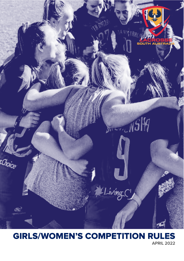

# GIRLS/WOMEN'S COMPETITION RULES

**APRIL 2022**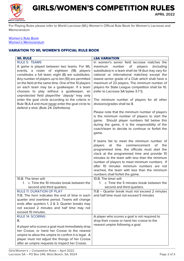

## GIRLS/WOMEN'S COMPETITION RULES

**APRIL 2022**

For Playing Rules please refer to World Lacrosse (WL) Women's Official Rule Book for Women's Lacrosse and Memorandum.

#### Women's Rule Book [Women's Memorandum](https://d13mgad1aost97.cloudfront.net/2021/02/RULES-MEMORANDUM-Womens-Lacrosse-2021-01-24.pdf)

### VARIATION TO WL WOMEN'S OFFICIAL RULE BOOK

| <b>WL RULE</b>                                                                                                                                                                                                                                                                                                                                                                                                                                                                                                                                                                           | <b>LSA VARIATION</b>                                                                                                                                                                                                                                                                                                                                                                                                                                                                                                                                                                                                                                                                                                                                                                                                                                                                                                                                                                                                                                                                                       |
|------------------------------------------------------------------------------------------------------------------------------------------------------------------------------------------------------------------------------------------------------------------------------------------------------------------------------------------------------------------------------------------------------------------------------------------------------------------------------------------------------------------------------------------------------------------------------------------|------------------------------------------------------------------------------------------------------------------------------------------------------------------------------------------------------------------------------------------------------------------------------------------------------------------------------------------------------------------------------------------------------------------------------------------------------------------------------------------------------------------------------------------------------------------------------------------------------------------------------------------------------------------------------------------------------------------------------------------------------------------------------------------------------------------------------------------------------------------------------------------------------------------------------------------------------------------------------------------------------------------------------------------------------------------------------------------------------------|
| <b>RULE 5: TEAMS</b><br>A game is played between two teams. For WL<br>events, a roster of eighteen (18) players<br>constitutes a full team; eight (8) are substitutes.<br>Any number of players up to ten (10) are permitted<br>on the field at the same time. One of the 10 players<br>on each team may be a goalkeeper. If a team<br>chooses to play without a goalkeeper, an<br>unprotected field player/the 'deputy' may only<br>enter the goal circle according to the criteria in<br>Rule 18.A.4 and must never enter the goal circle to<br>defend a shot. (Rule 24: Definitions). | In women's senior field lacrosse matches the<br>number of<br>players<br>maximum<br>(including<br>substitutes) in a team shall be 14 (but may vary for<br>national or international matches) except the<br>lowest senior grade of a Club which shall have a<br>maximum of 23 players. The minimum number of<br>players for State League competition shall be 10.<br>(refer to Lacrosse SA bylaw 3.7.1).<br>The minimum number of players for all other<br>divisions/grades shall be 8.<br>Please note that the minimum number of players<br>is the minimum number of players to start the<br>game. Should player numbers fall below this<br>during the game, it is the responsibility of the<br>coach/team to decide to continue or forfeit the<br>game.<br>If teams fail to meet the minimum number of<br>the<br>of<br>the<br>players<br>at<br>commencement<br>programmed time, the officials must start the<br>clock at the programmed time and provide 10<br>minutes to the team with less than the minimum<br>number of players to meet minimum numbers. If<br>after 10 minutes minimum numbers are not |
| 10.B. The timer will:<br>c. Time the 10 minutes break between the<br>1 <sup>1</sup>                                                                                                                                                                                                                                                                                                                                                                                                                                                                                                      | reached, the team with less than the minimum<br>numbers shall forfeit the game.<br>10.B. The timer will:<br>c. Time the 5 minutes break between the<br>1 <sub>1</sub>                                                                                                                                                                                                                                                                                                                                                                                                                                                                                                                                                                                                                                                                                                                                                                                                                                                                                                                                      |
| second and third quarters.<br><b>RULE 11: DURATION OF PLAY</b><br>11.B. The horn indicates the end of time in each<br>quarter and overtime period. Teams will change<br>ends after quarters 1, 2 & 3. Quarter breaks may<br>not exceed 2 minutes and half time may not<br>exceed 10 minutes.                                                                                                                                                                                                                                                                                             | second and third quarters.<br>11.B - Quarter break must not exceed 2 minutes<br>and half time must not exceed 5 minutes                                                                                                                                                                                                                                                                                                                                                                                                                                                                                                                                                                                                                                                                                                                                                                                                                                                                                                                                                                                    |
| <b>RULE 14: SCORING</b><br>В.<br>A player who scores a goal must immediately drop<br>her Crosse, or hand her Crosse to the nearest<br>umpire to allow the umpire to confirm it is legal. A<br>player must not adjust the thongs of her Crosse<br>after an umpire requests to inspect her Crosse.                                                                                                                                                                                                                                                                                         | A player who scores a goal is not required to<br>drop their crosse or hand her crosse to the<br>nearest umpire following a goal.                                                                                                                                                                                                                                                                                                                                                                                                                                                                                                                                                                                                                                                                                                                                                                                                                                                                                                                                                                           |